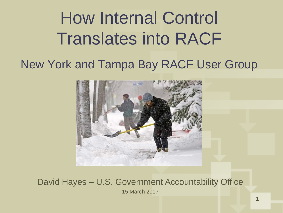# How Internal Control Translates into RACF

#### New York and Tampa Bay RACF User Group



#### David Hayes – U.S. Government Accountability Office 15 March 2017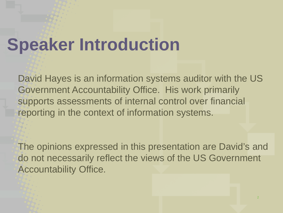# **Speaker Introduction**

David Hayes is an information systems auditor with the US Government Accountability Office. His work primarily supports assessments of internal control over financial reporting in the context of information systems.

The opinions expressed in this presentation are David's and do not necessarily reflect the views of the US Government Accountability Offi[ce.](http://www.share.org/Evaluation)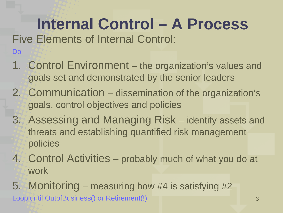# **Internal Control – A Process**

Five Elements of Internal Control:

Do

- 1. Control Environment the organization's values and goals set and demonstrated by the senior leaders
- 2. Communication dissemination of the organization's goals, control objectives and policies
- 3. Assessing and Managing Risk identify assets and threats and establishing quantified risk management policies
- 4. Control Activities probably much of what you do at work

5. Monitoring – measuring how #4 is satisfying #2 Loop until OutofBusiness() or Retirement(!) 333 and 34 and 35 and 35 and 35 and 35 and 35 and 35 and 35 and 35 and 35 and 35 and 35 and 35 and 35 and 35 and 35 and 35 and 35 and 35 and 35 and 35 and 35 and 35 and 35 and 35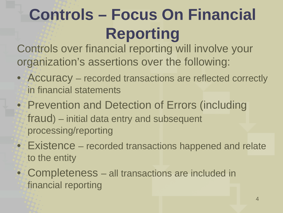# **Controls – Focus On Financial Reporting**

Controls over financial reporting will involve your organization's assertions over the following:

- Accuracy recorded transactions are reflected correctly in financial statements
- Prevention and Detection of Errors (including fraud) – initial data entry and subsequent processing/reporting
- Existence recorded transactions happened and relate to the entity
- Completeness all transactions are included in financial reporting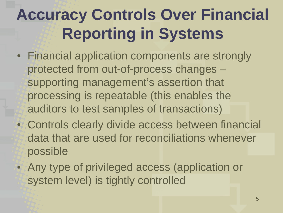# **Accuracy Controls Over Financial Reporting in Systems**

- Financial application components are strongly protected from out-of-process changes – supporting management's assertion that processing is repeatable (this enables the auditors to test samples of transactions)
- Controls clearly divide access between financial data that are used for reconciliations whenever possible
- Any type of privileged access (application or system level) is tightly controlled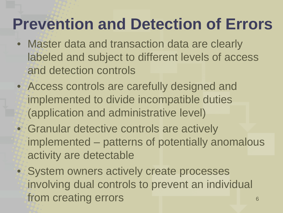#### **Prevention and Detection of Errors**

- Master data and transaction data are clearly labeled and subject to different levels of access and detection controls
- Access controls are carefully designed and implemented to divide incompatible duties (application and administrative level)
- Granular detective controls are actively implemented – patterns of potentially anomalous activity are detectable
- System owners actively create processes involving dual controls to prevent an individual from creating errors **6**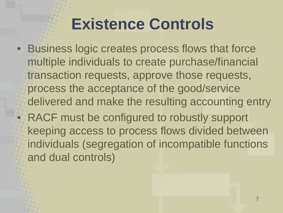#### **Existence Controls**

- Business logic creates process flows that force multiple individuals to create purchase/financial transaction requests, approve those requests, process the acceptance of the good/service delivered and make the resulting accounting entry
- RACF must be configured to robustly support keeping access to process flows divided between individuals (segregation of incompatible functions and dual controls)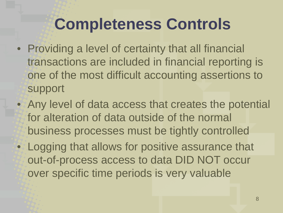#### **Completeness Controls**

- Providing a level of certainty that all financial transactions are included in financial reporting is one of the most difficult accounting assertions to support
- Any level of data access that creates the potential for alteration of data outside of the normal business processes must be tightly controlled
- Logging that allows for positive assurance that out-of-process access to data DID NOT occur over specific time periods is very valuable